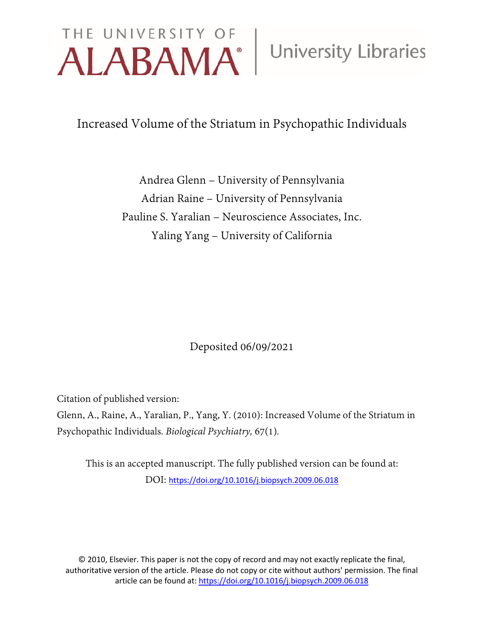# THE UNIVERSITY OF University Libraries

Increased Volume of the Striatum in Psychopathic Individuals

Andrea Glenn – University of Pennsylvania Adrian Raine – University of Pennsylvania Pauline S. Yaralian – Neuroscience Associates, Inc. Yaling Yang – University of California

Deposited 06/09/2021

Citation of published version:

Glenn, A., Raine, A., Yaralian, P., Yang, Y. (2010): Increased Volume of the Striatum in Psychopathic Individuals. *Biological Psychiatry,* 67(1)*.*

This is an accepted manuscript. The fully published version can be found at: DOI: <https://doi.org/10.1016/j.biopsych.2009.06.018>

© 2010, Elsevier. This paper is not the copy of record and may not exactly replicate the final, authoritative version of the article. Please do not copy or cite without authors' permission. The final article can be found at[: https://doi.org/10.1016/j.biopsych.2009.06.018](https://doi.org/10.1016/j.biopsych.2009.06.018)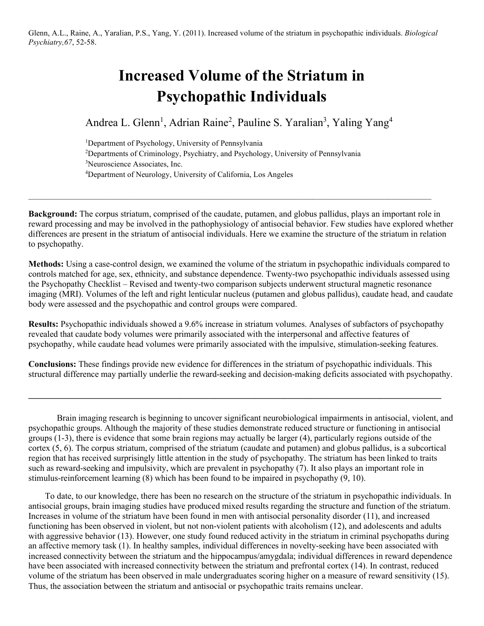# **Increased Volume of the Striatum in Psychopathic Individuals**

Andrea L. Glenn<sup>1</sup>, Adrian Raine<sup>2</sup>, Pauline S. Yaralian<sup>3</sup>, Yaling Yang<sup>4</sup>

<sup>1</sup>Department of Psychology, University of Pennsylvania Departments of Criminology, Psychiatry, and Psychology, University of Pennsylvania Neuroscience Associates, Inc. Department of Neurology, University of California, Los Angeles

 $\_$  , and the state of the state of the state of the state of the state of the state of the state of the state of the state of the state of the state of the state of the state of the state of the state of the state of the

**Background:** The corpus striatum, comprised of the caudate, putamen, and globus pallidus, plays an important role in reward processing and may be involved in the pathophysiology of antisocial behavior. Few studies have explored whether differences are present in the striatum of antisocial individuals. Here we examine the structure of the striatum in relation to psychopathy.

**Methods:** Using a case-control design, we examined the volume of the striatum in psychopathic individuals compared to controls matched for age, sex, ethnicity, and substance dependence. Twenty-two psychopathic individuals assessed using the Psychopathy Checklist – Revised and twenty-two comparison subjects underwent structural magnetic resonance imaging (MRI). Volumes of the left and right lenticular nucleus (putamen and globus pallidus), caudate head, and caudate body were assessed and the psychopathic and control groups were compared.

**Results:** Psychopathic individuals showed a 9.6% increase in striatum volumes. Analyses of subfactors of psychopathy revealed that caudate body volumes were primarily associated with the interpersonal and affective features of psychopathy, while caudate head volumes were primarily associated with the impulsive, stimulation-seeking features.

**Conclusions:** These findings provide new evidence for differences in the striatum of psychopathic individuals. This structural difference may partially underlie the reward-seeking and decision-making deficits associated with psychopathy.

**\_\_\_\_\_\_\_\_\_\_\_\_\_\_\_\_\_\_\_\_\_\_\_\_\_\_\_\_\_\_\_\_\_\_\_\_\_\_\_\_\_\_\_\_\_\_\_\_\_\_\_\_\_\_\_\_\_\_\_\_\_\_\_\_\_\_\_\_\_\_\_\_\_\_\_\_\_\_\_\_\_\_\_\_\_\_\_\_\_\_\_\_\_\_\_** 

Brain imaging research is beginning to uncover significant neurobiological impairments in antisocial, violent, and psychopathic groups. Although the majority of these studies demonstrate reduced structure or functioning in antisocial groups (1-3), there is evidence that some brain regions may actually be larger (4), particularly regions outside of the cortex (5, 6). The corpus striatum, comprised of the striatum (caudate and putamen) and globus pallidus, is a subcortical region that has received surprisingly little attention in the study of psychopathy. The striatum has been linked to traits such as reward-seeking and impulsivity, which are prevalent in psychopathy (7). It also plays an important role in stimulus-reinforcement learning (8) which has been found to be impaired in psychopathy (9, 10).

To date, to our knowledge, there has been no research on the structure of the striatum in psychopathic individuals. In antisocial groups, brain imaging studies have produced mixed results regarding the structure and function of the striatum. Increases in volume of the striatum have been found in men with antisocial personality disorder (11), and increased functioning has been observed in violent, but not non-violent patients with alcoholism (12), and adolescents and adults with aggressive behavior (13). However, one study found reduced activity in the striatum in criminal psychopaths during an affective memory task (1). In healthy samples, individual differences in novelty-seeking have been associated with increased connectivity between the striatum and the hippocampus/amygdala; individual differences in reward dependence have been associated with increased connectivity between the striatum and prefrontal cortex (14). In contrast, reduced volume of the striatum has been observed in male undergraduates scoring higher on a measure of reward sensitivity (15). Thus, the association between the striatum and antisocial or psychopathic traits remains unclear.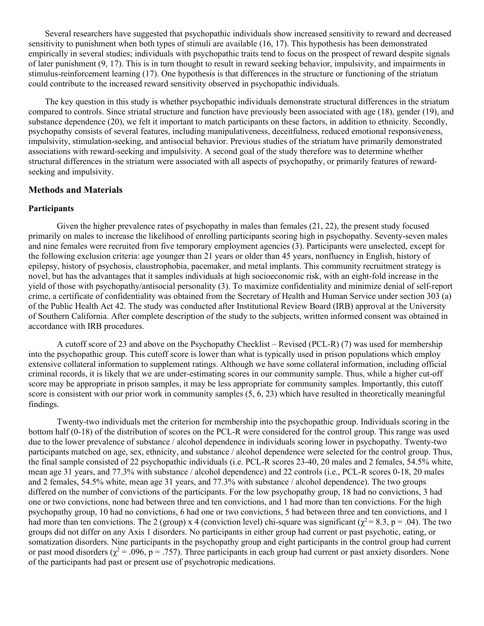Several researchers have suggested that psychopathic individuals show increased sensitivity to reward and decreased sensitivity to punishment when both types of stimuli are available (16, 17). This hypothesis has been demonstrated empirically in several studies; individuals with psychopathic traits tend to focus on the prospect of reward despite signals of later punishment (9, 17). This is in turn thought to result in reward seeking behavior, impulsivity, and impairments in stimulus-reinforcement learning (17). One hypothesis is that differences in the structure or functioning of the striatum could contribute to the increased reward sensitivity observed in psychopathic individuals.

The key question in this study is whether psychopathic individuals demonstrate structural differences in the striatum compared to controls. Since striatal structure and function have previously been associated with age (18), gender (19), and substance dependence (20), we felt it important to match participants on these factors, in addition to ethnicity. Secondly, psychopathy consists of several features, including manipulativeness, deceitfulness, reduced emotional responsiveness, impulsivity, stimulation-seeking, and antisocial behavior. Previous studies of the striatum have primarily demonstrated associations with reward-seeking and impulsivity. A second goal of the study therefore was to determine whether structural differences in the striatum were associated with all aspects of psychopathy, or primarily features of rewardseeking and impulsivity.

#### **Methods and Materials**

# **Participants**

Given the higher prevalence rates of psychopathy in males than females (21, 22), the present study focused primarily on males to increase the likelihood of enrolling participants scoring high in psychopathy. Seventy-seven males and nine females were recruited from five temporary employment agencies (3). Participants were unselected, except for the following exclusion criteria: age younger than 21 years or older than 45 years, nonfluency in English, history of epilepsy, history of psychosis, claustrophobia, pacemaker, and metal implants. This community recruitment strategy is novel, but has the advantages that it samples individuals at high socioeconomic risk, with an eight-fold increase in the yield of those with psychopathy/antisocial personality (3). To maximize confidentiality and minimize denial of self-report crime, a certificate of confidentiality was obtained from the Secretary of Health and Human Service under section 303 (a) of the Public Health Act 42. The study was conducted after Institutional Review Board (IRB) approval at the University of Southern California. After complete description of the study to the subjects, written informed consent was obtained in accordance with IRB procedures.

A cutoff score of 23 and above on the Psychopathy Checklist – Revised (PCL-R) (7) was used for membership into the psychopathic group. This cutoff score is lower than what is typically used in prison populations which employ extensive collateral information to supplement ratings. Although we have some collateral information, including official criminal records, it is likely that we are under-estimating scores in our community sample. Thus, while a higher cut-off score may be appropriate in prison samples, it may be less appropriate for community samples. Importantly, this cutoff score is consistent with our prior work in community samples (5, 6, 23) which have resulted in theoretically meaningful findings.

Twenty-two individuals met the criterion for membership into the psychopathic group. Individuals scoring in the bottom half (0-18) of the distribution of scores on the PCL-R were considered for the control group. This range was used due to the lower prevalence of substance / alcohol dependence in individuals scoring lower in psychopathy. Twenty-two participants matched on age, sex, ethnicity, and substance / alcohol dependence were selected for the control group. Thus, the final sample consisted of 22 psychopathic individuals (i.e. PCL-R scores 23-40, 20 males and 2 females, 54.5% white, mean age 31 years, and 77.3% with substance / alcohol dependence) and 22 controls (i.e., PCL-R scores 0-18, 20 males and 2 females, 54.5% white, mean age 31 years, and 77.3% with substance / alcohol dependence). The two groups differed on the number of convictions of the participants. For the low psychopathy group, 18 had no convictions, 3 had one or two convictions, none had between three and ten convictions, and 1 had more than ten convictions. For the high psychopathy group, 10 had no convictions, 6 had one or two convictions, 5 had between three and ten convictions, and 1 had more than ten convictions. The 2 (group) x 4 (conviction level) chi-square was significant ( $\chi^2 = 8.3$ , p = .04). The two groups did not differ on any Axis 1 disorders. No participants in either group had current or past psychotic, eating, or somatization disorders. Nine participants in the psychopathy group and eight participants in the control group had current or past mood disorders ( $\chi^2$  = .096, p = .757). Three participants in each group had current or past anxiety disorders. None of the participants had past or present use of psychotropic medications.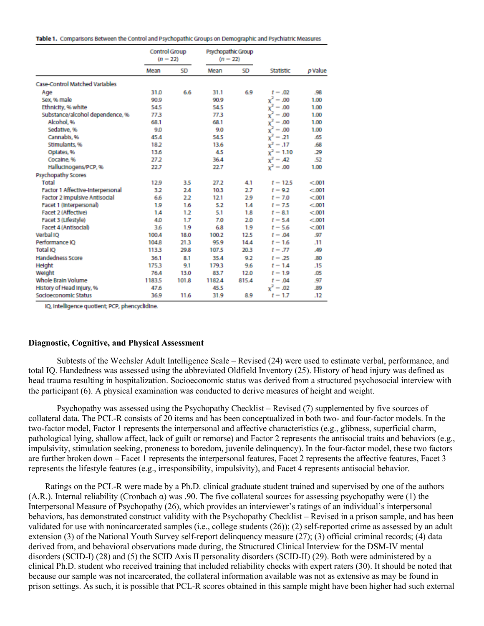|  |  |  |  |  | Table 1. Comparisons Between the Control and Psychopathic Groups on Demographic and Psychiatric Measures |
|--|--|--|--|--|----------------------------------------------------------------------------------------------------------|
|  |  |  |  |  |                                                                                                          |

|                                       | Control Group<br>$(n - 22)$ |           | Psychopathic Group<br>$(n - 22)$ |           |              |         |
|---------------------------------------|-----------------------------|-----------|----------------------------------|-----------|--------------|---------|
|                                       | Mean                        | <b>SD</b> | Mean                             | <b>SD</b> | Statistic    | p Value |
| <b>Case-Control Matched Variables</b> |                             |           |                                  |           |              |         |
| Age                                   | 31.0                        | 6.6       | 31.1                             | 6.9       | $t - .02$    | .98     |
| Sex. % male                           | 90.9                        |           | 90.9                             |           | $x^2 = .00$  | 1.00    |
| Ethnicity, % white                    | 54.5                        |           | 54.5                             |           | $x^2 - .00$  | 1.00    |
| Substance/alcohol dependence, %       | 77.3                        |           | 77.3                             |           | $x^2 - .00$  | 1.00    |
| Alcohol, %                            | 68.1                        |           | 68.1                             |           | $x^2 - .00$  | 1.00    |
| Sedative, %                           | 9.0                         |           | 9.0                              |           | $x^2 - .00$  | 1.00    |
| Cannabis, %                           | 45.4                        |           | 54.5                             |           | $x^2 = 21$   | .65     |
| Stimulants, %                         | 18.2                        |           | 13.6                             |           | $x^2 = .17$  | .68     |
| Oplates, %                            | 13.6                        |           | 45                               |           | $x^2 = 1.10$ | .29     |
| Cocaine, %                            | 27.2                        |           | 36.4                             |           | $x^2 - 42$   | -52     |
| HallucInogens/PCP, %                  | 22.7                        |           | 22.7                             |           | $x^2 - .00$  | 1.00    |
| Psychopathy Scores                    |                             |           |                                  |           |              |         |
| Total                                 | 12.9                        | 3.5       | 27.2                             | 4.1       | $t - 12.5$   | < 001   |
| Factor 1 Affective-Interpersonal      | 3.2                         | 2.4       | 10.3                             | 2.7       | $t - 9.2$    | < 001   |
| <b>Factor 2 Impulsive Antisocial</b>  | 6.6                         | 2.2       | 12.1                             | 2.9       | $t - 7.0$    | < 001   |
| Facet 1 (Interpersonal)               | 1.9                         | 1.6       | 5.2                              | 1.4       | $t - 7.5$    | < 001   |
| Facet 2 (Affective)                   | 1.4                         | 1.2       | 5.1                              | 1.8       | $t - 8.1$    | < 001   |
| Facet 3 (Lifestyle)                   | 4.0                         | 1.7       | 7.0                              | 2.0       | $t - 5.4$    | < 001   |
| Facet 4 (Antisocial)                  | 3.6                         | 1.9       | 6.8                              | 1.9       | $t - 5.6$    | < 001   |
| Verbal IO                             | 100.4                       | 18.0      | 100.2                            | 12.5      | $t - .04$    | .97     |
| Performance IO                        | 104.8                       | 21.3      | 95.9                             | 14.4      | $t - 1.6$    | .11     |
| <b>Total IO</b>                       | 113.3                       | 29.8      | 107.5                            | 20.3      | $t - 77$     | A9      |
| <b>Handedness Score</b>               | 36.1                        | 8.1       | 35.4                             | 9.2       | $t - 25$     | .80     |
| Height                                | 175.3                       | 9.1       | 179.3                            | 9.6       | $t = 1.4$    | .15     |
| Weight                                | 76.4                        | 13.0      | 83.7                             | 12.0      | $t - 1.9$    | .05     |
| Whole Brain Volume                    | 1183.5                      | 101.8     | 1182.4                           | 815.4     | $t - .04$    | .97     |
| History of Head Injury, %             | 47.6                        |           | 45.5                             |           | $x^2 = .02$  | .89     |
| Socioeconomic Status                  | 36.9                        | 11.6      | 31.9                             | 8.9       | $t - 1.7$    | -12     |

IQ, Intelligence quotient; PCP, phencyclidine.

### **Diagnostic, Cognitive, and Physical Assessment**

Subtests of the Wechsler Adult Intelligence Scale – Revised (24) were used to estimate verbal, performance, and total IQ. Handedness was assessed using the abbreviated Oldfield Inventory (25). History of head injury was defined as head trauma resulting in hospitalization. Socioeconomic status was derived from a structured psychosocial interview with the participant (6). A physical examination was conducted to derive measures of height and weight.

Psychopathy was assessed using the Psychopathy Checklist – Revised (7) supplemented by five sources of collateral data. The PCL-R consists of 20 items and has been conceptualized in both two- and four-factor models. In the two-factor model, Factor 1 represents the interpersonal and affective characteristics (e.g., glibness, superficial charm, pathological lying, shallow affect, lack of guilt or remorse) and Factor 2 represents the antisocial traits and behaviors (e.g., impulsivity, stimulation seeking, proneness to boredom, juvenile delinquency). In the four-factor model, these two factors are further broken down – Facet 1 represents the interpersonal features, Facet 2 represents the affective features, Facet 3 represents the lifestyle features (e.g., irresponsibility, impulsivity), and Facet 4 represents antisocial behavior.

Ratings on the PCL-R were made by a Ph.D. clinical graduate student trained and supervised by one of the authors (A.R.). Internal reliability (Cronbach α) was .90. The five collateral sources for assessing psychopathy were (1) the Interpersonal Measure of Psychopathy (26), which provides an interviewer's ratings of an individual's interpersonal behaviors, has demonstrated construct validity with the Psychopathy Checklist – Revised in a prison sample, and has been validated for use with nonincarcerated samples (i.e., college students (26)); (2) self-reported crime as assessed by an adult extension (3) of the National Youth Survey self-report delinquency measure (27); (3) official criminal records; (4) data derived from, and behavioral observations made during, the Structured Clinical Interview for the DSM-IV mental disorders (SCID-I) (28) and (5) the SCID Axis II personality disorders (SCID-II) (29). Both were administered by a clinical Ph.D. student who received training that included reliability checks with expert raters (30). It should be noted that because our sample was not incarcerated, the collateral information available was not as extensive as may be found in prison settings. As such, it is possible that PCL-R scores obtained in this sample might have been higher had such external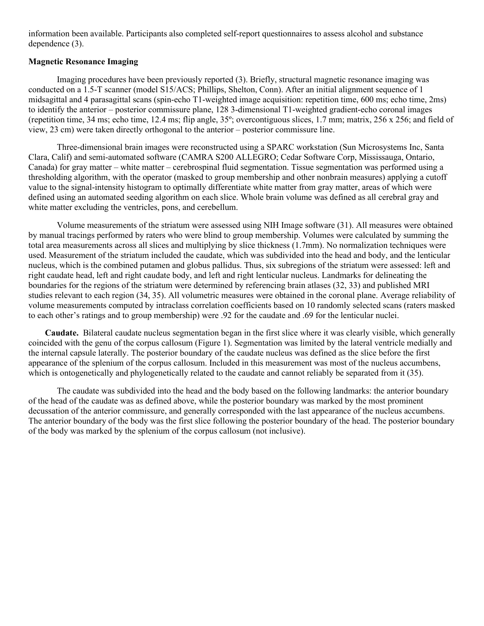information been available. Participants also completed self-report questionnaires to assess alcohol and substance dependence (3).

# **Magnetic Resonance Imaging**

Imaging procedures have been previously reported (3). Briefly, structural magnetic resonance imaging was conducted on a 1.5-T scanner (model S15/ACS; Phillips, Shelton, Conn). After an initial alignment sequence of 1 midsagittal and 4 parasagittal scans (spin-echo T1-weighted image acquisition: repetition time, 600 ms; echo time, 2ms) to identify the anterior – posterior commissure plane, 128 3-dimensional T1-weighted gradient-echo coronal images (repetition time, 34 ms; echo time, 12.4 ms; flip angle, 35º; overcontiguous slices, 1.7 mm; matrix, 256 x 256; and field of view, 23 cm) were taken directly orthogonal to the anterior – posterior commissure line.

Three-dimensional brain images were reconstructed using a SPARC workstation (Sun Microsystems Inc, Santa Clara, Calif) and semi-automated software (CAMRA S200 ALLEGRO; Cedar Software Corp, Mississauga, Ontario, Canada) for gray matter – white matter – cerebrospinal fluid segmentation. Tissue segmentation was performed using a thresholding algorithm, with the operator (masked to group membership and other nonbrain measures) applying a cutoff value to the signal-intensity histogram to optimally differentiate white matter from gray matter, areas of which were defined using an automated seeding algorithm on each slice. Whole brain volume was defined as all cerebral gray and white matter excluding the ventricles, pons, and cerebellum.

Volume measurements of the striatum were assessed using NIH Image software (31). All measures were obtained by manual tracings performed by raters who were blind to group membership. Volumes were calculated by summing the total area measurements across all slices and multiplying by slice thickness (1.7mm). No normalization techniques were used. Measurement of the striatum included the caudate, which was subdivided into the head and body, and the lenticular nucleus, which is the combined putamen and globus pallidus. Thus, six subregions of the striatum were assessed: left and right caudate head, left and right caudate body, and left and right lenticular nucleus. Landmarks for delineating the boundaries for the regions of the striatum were determined by referencing brain atlases (32, 33) and published MRI studies relevant to each region (34, 35). All volumetric measures were obtained in the coronal plane. Average reliability of volume measurements computed by intraclass correlation coefficients based on 10 randomly selected scans (raters masked to each other's ratings and to group membership) were .92 for the caudate and .69 for the lenticular nuclei.

**Caudate.** Bilateral caudate nucleus segmentation began in the first slice where it was clearly visible, which generally coincided with the genu of the corpus callosum (Figure 1). Segmentation was limited by the lateral ventricle medially and the internal capsule laterally. The posterior boundary of the caudate nucleus was defined as the slice before the first appearance of the splenium of the corpus callosum. Included in this measurement was most of the nucleus accumbens, which is ontogenetically and phylogenetically related to the caudate and cannot reliably be separated from it (35).

The caudate was subdivided into the head and the body based on the following landmarks: the anterior boundary of the head of the caudate was as defined above, while the posterior boundary was marked by the most prominent decussation of the anterior commissure, and generally corresponded with the last appearance of the nucleus accumbens. The anterior boundary of the body was the first slice following the posterior boundary of the head. The posterior boundary of the body was marked by the splenium of the corpus callosum (not inclusive).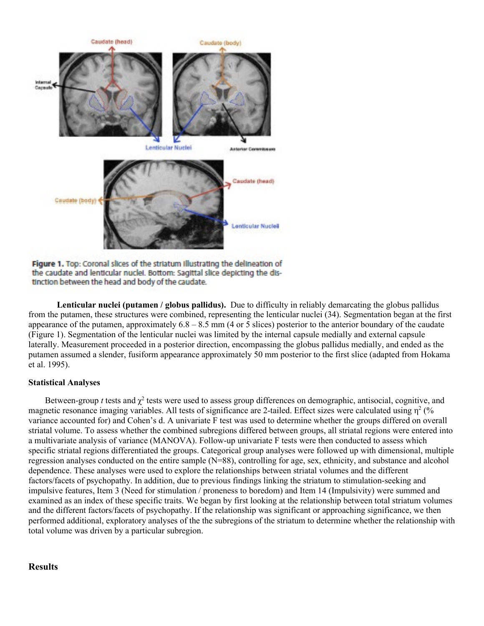

Figure 1. Top: Coronal slices of the striatum illustrating the delineation of the caudate and lenticular nuclei. Bottom: Sagittal slice depicting the distinction between the head and body of the caudate.

**Lenticular nuclei (putamen / globus pallidus).** Due to difficulty in reliably demarcating the globus pallidus from the putamen, these structures were combined, representing the lenticular nuclei (34). Segmentation began at the first appearance of the putamen, approximately  $6.8 - 8.5$  mm (4 or 5 slices) posterior to the anterior boundary of the caudate (Figure 1). Segmentation of the lenticular nuclei was limited by the internal capsule medially and external capsule laterally. Measurement proceeded in a posterior direction, encompassing the globus pallidus medially, and ended as the putamen assumed a slender, fusiform appearance approximately 50 mm posterior to the first slice (adapted from Hokama et al. 1995).

# **Statistical Analyses**

Between-group *t* tests and  $\chi^2$  tests were used to assess group differences on demographic, antisocial, cognitive, and magnetic resonance imaging variables. All tests of significance are 2-tailed. Effect sizes were calculated using  $\eta^2$  (% variance accounted for) and Cohen's d. A univariate F test was used to determine whether the groups differed on overall striatal volume. To assess whether the combined subregions differed between groups, all striatal regions were entered into a multivariate analysis of variance (MANOVA). Follow-up univariate F tests were then conducted to assess which specific striatal regions differentiated the groups. Categorical group analyses were followed up with dimensional, multiple regression analyses conducted on the entire sample (N=88), controlling for age, sex, ethnicity, and substance and alcohol dependence. These analyses were used to explore the relationships between striatal volumes and the different factors/facets of psychopathy. In addition, due to previous findings linking the striatum to stimulation-seeking and impulsive features, Item 3 (Need for stimulation / proneness to boredom) and Item 14 (Impulsivity) were summed and examined as an index of these specific traits. We began by first looking at the relationship between total striatum volumes and the different factors/facets of psychopathy. If the relationship was significant or approaching significance, we then performed additional, exploratory analyses of the the subregions of the striatum to determine whether the relationship with total volume was driven by a particular subregion.

# **Results**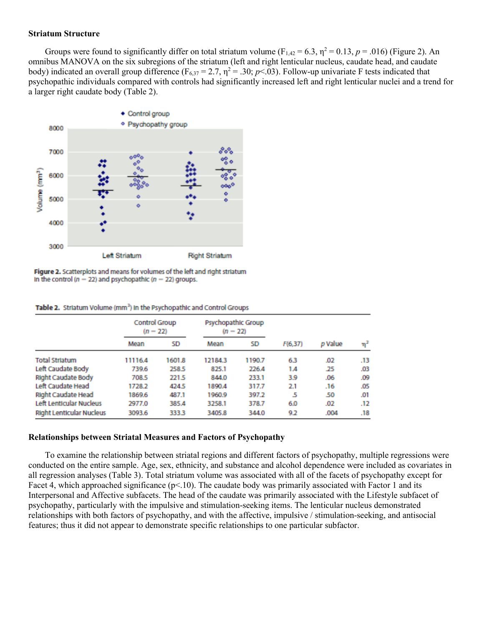#### **Striatum Structure**

Groups were found to significantly differ on total striatum volume ( $F_{1,42} = 6.3$ ,  $\eta^2 = 0.13$ ,  $p = .016$ ) (Figure 2). An omnibus MANOVA on the six subregions of the striatum (left and right lenticular nucleus, caudate head, and caudate body) indicated an overall group difference ( $F_{6,37} = 2.7$ ,  $\eta^2 = .30$ ; *p*<.03). Follow-up univariate F tests indicated that psychopathic individuals compared with controls had significantly increased left and right lenticular nuclei and a trend for a larger right caudate body (Table 2).



Figure 2. Scatterplots and means for volumes of the left and right striatum In the control ( $n - 22$ ) and psychopathic ( $n - 22$ ) groups.

|                                 | Control Group<br>$(n - 22)$ |        | <b>Psychopathic Group</b><br>$(n - 22)$ |        |          |         |     |
|---------------------------------|-----------------------------|--------|-----------------------------------------|--------|----------|---------|-----|
|                                 | Mean                        | SD     | Mean                                    | SD     | F(6, 37) | p Value | 'n  |
| <b>Total Striatum</b>           | 11116.4                     | 1601.8 | 12184.3                                 | 1190.7 | 63       | .02     | .13 |
| Left Caudate Body               | 739.6                       | 258.5  | 825.1                                   | 226.4  | 1.4      | .25     | .03 |
| <b>Right Caudate Body</b>       | 708.5                       | 221.5  | 844.0                                   | 233.1  | 3.9      | .06     | .09 |
| Left Caudate Head               | 1728.2                      | 424.5  | 1890.4                                  | 317.7  | 2.1      | .16     | .05 |
| Right Caudate Head              | 1869.6                      | 487.1  | 1960.9                                  | 397.2  | 5        | .50     | .01 |
| <b>Left Lenticular Nucleus</b>  | 2977.0                      | 385.4  | 3258.1                                  | 378.7  | 6.0      | .02     | .12 |
| <b>Right Lenticular Nucleus</b> | 3093.6                      | 333.3  | 3405.8                                  | 344.0  | 9.2      | .004    | .18 |

#### **Relationships between Striatal Measures and Factors of Psychopathy**

To examine the relationship between striatal regions and different factors of psychopathy, multiple regressions were conducted on the entire sample. Age, sex, ethnicity, and substance and alcohol dependence were included as covariates in all regression analyses (Table 3). Total striatum volume was associated with all of the facets of psychopathy except for Facet 4, which approached significance ( $p<10$ ). The caudate body was primarily associated with Factor 1 and its Interpersonal and Affective subfacets. The head of the caudate was primarily associated with the Lifestyle subfacet of psychopathy, particularly with the impulsive and stimulation-seeking items. The lenticular nucleus demonstrated relationships with both factors of psychopathy, and with the affective, impulsive / stimulation-seeking, and antisocial features; thus it did not appear to demonstrate specific relationships to one particular subfactor.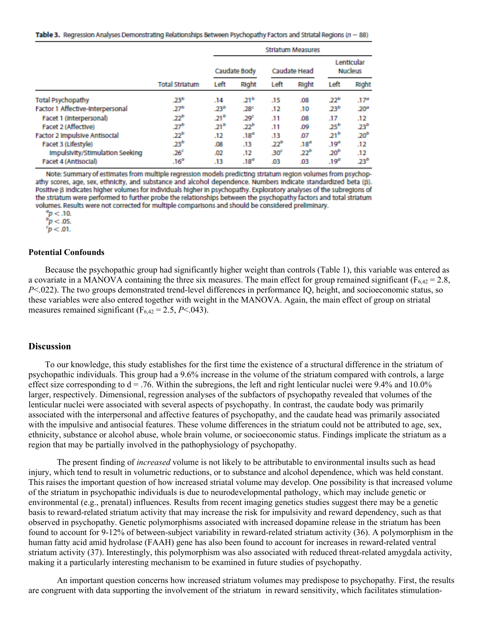Table 3. Regression Analyses Demonstrating Relationships Between Psychopathy Factors and Striatal Regions (n = 88)

|                                      |                       | <b>Striatum Measures</b> |                  |                  |                  |                              |                  |  |  |
|--------------------------------------|-----------------------|--------------------------|------------------|------------------|------------------|------------------------------|------------------|--|--|
|                                      |                       |                          | Caudate Body     | Caudate Head     |                  | Lenticular<br><b>Nucleus</b> |                  |  |  |
|                                      | <b>Total Striatum</b> | Left                     | Right            | Left             | Right            | Left                         | Right            |  |  |
| <b>Total Psychopathy</b>             | .23 <sup>b</sup>      | .14                      | .21 <sup>b</sup> | .15              | .08              | .22 <sup>b</sup>             | .17 <sup>a</sup> |  |  |
| Factor 1 Affective-Interpersonal     | .27 <sup>b</sup>      | .23 <sup>b</sup>         | .28 <sup>c</sup> | .12              | .10              | .23 <sup>b</sup>             | .20 <sup>a</sup> |  |  |
| Facet 1 (Interpersonal)              | .22 <sup>b</sup>      | 41ء                      | .29 <sup>c</sup> | .11              | .08              | .17                          | .12              |  |  |
| Facet 2 (Affective)                  | .27 <sup>b</sup>      | $21^{b}$                 | בכ.              | .11              | .09              | $25^b$                       | 23 <sup>b</sup>  |  |  |
| <b>Factor 2 Impulsive Antisocial</b> | .22 <sup>b</sup>      | .12                      | .18 <sup>o</sup> | .13              | .07              | $21^{b}$                     | 20 <sup>b</sup>  |  |  |
| Facet 3 (Lifestyle)                  | .23 <sup>b</sup>      | .08                      | .13              | .22 <sup>b</sup> | .18 <sup>a</sup> | .19 <sup>o</sup>             | .12              |  |  |
| Impulsivity/Stimulation Seeking      | .26 <sup>c</sup>      | .02                      | .12              | 30 <sup>c</sup>  | .22 <sup>b</sup> | 20 <sup>b</sup>              | .12              |  |  |
| Facet 4 (Antisocial)                 | .16 <sup>a</sup>      | .13                      | .18 <sup>a</sup> | .03              | .03              | .19 <sup>a</sup>             | .23 <sup>b</sup> |  |  |

Note: Summary of estimates from multiple regression models predicting striatum region volumes from psychopathy scores, age, sex, ethnicity, and substance and alcohol dependence. Numbers indicate standardized beta (B). Positive B indicates higher volumes for individuals higher in psychopathy. Exploratory analyses of the subregions of the striatum were performed to further probe the relationships between the psychopathy factors and total striatum volumes. Results were not corrected for multiple comparisons and should be considered preliminary.

 $p < 10$ .

 $p < 0.05$ .

 $p < 01$ .

#### **Potential Confounds**

Because the psychopathic group had significantly higher weight than controls (Table 1), this variable was entered as a covariate in a MANOVA containing the three six measures. The main effect for group remained significant ( $F_{6,42} = 2.8$ , *P*<.022). The two groups demonstrated trend-level differences in performance IQ, height, and socioeconomic status, so these variables were also entered together with weight in the MANOVA. Again, the main effect of group on striatal measures remained significant  $(F_{6,42} = 2.5, P < .043)$ .

#### **Discussion**

To our knowledge, this study establishes for the first time the existence of a structural difference in the striatum of psychopathic individuals. This group had a 9.6% increase in the volume of the striatum compared with controls, a large effect size corresponding to  $d = .76$ . Within the subregions, the left and right lenticular nuclei were 9.4% and 10.0% larger, respectively. Dimensional, regression analyses of the subfactors of psychopathy revealed that volumes of the lenticular nuclei were associated with several aspects of psychopathy. In contrast, the caudate body was primarily associated with the interpersonal and affective features of psychopathy, and the caudate head was primarily associated with the impulsive and antisocial features. These volume differences in the striatum could not be attributed to age, sex, ethnicity, substance or alcohol abuse, whole brain volume, or socioeconomic status. Findings implicate the striatum as a region that may be partially involved in the pathophysiology of psychopathy.

The present finding of *increased* volume is not likely to be attributable to environmental insults such as head injury, which tend to result in volumetric reductions, or to substance and alcohol dependence, which was held constant. This raises the important question of how increased striatal volume may develop. One possibility is that increased volume of the striatum in psychopathic individuals is due to neurodevelopmental pathology, which may include genetic or environmental (e.g., prenatal) influences. Results from recent imaging genetics studies suggest there may be a genetic basis to reward-related striatum activity that may increase the risk for impulsivity and reward dependency, such as that observed in psychopathy. Genetic polymorphisms associated with increased dopamine release in the striatum has been found to account for 9-12% of between-subject variability in reward-related striatum activity (36). A polymorphism in the human fatty acid amid hydrolase (FAAH) gene has also been found to account for increases in reward-related ventral striatum activity (37). Interestingly, this polymorphism was also associated with reduced threat-related amygdala activity, making it a particularly interesting mechanism to be examined in future studies of psychopathy.

An important question concerns how increased striatum volumes may predispose to psychopathy. First, the results are congruent with data supporting the involvement of the striatum in reward sensitivity, which facilitates stimulation-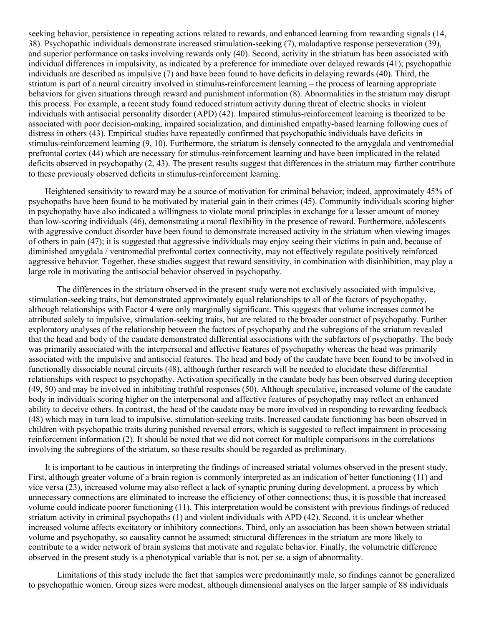seeking behavior, persistence in repeating actions related to rewards, and enhanced learning from rewarding signals (14, 38). Psychopathic individuals demonstrate increased stimulation-seeking (7), maladaptive response perseveration (39), and superior performance on tasks involving rewards only (40). Second, activity in the striatum has been associated with individual differences in impulsivity, as indicated by a preference for immediate over delayed rewards (41); psychopathic individuals are described as impulsive (7) and have been found to have deficits in delaying rewards (40). Third, the striatum is part of a neural circuitry involved in stimulus-reinforcement learning – the process of learning appropriate behaviors for given situations through reward and punishment information (8). Abnormalities in the striatum may disrupt this process. For example, a recent study found reduced striatum activity during threat of electric shocks in violent individuals with antisocial personality disorder (APD) (42). Impaired stimulus-reinforcement learning is theorized to be associated with poor decision-making, impaired socialization, and diminished empathy-based learning following cues of distress in others (43). Empirical studies have repeatedly confirmed that psychopathic individuals have deficits in stimulus-reinforcement learning (9, 10). Furthermore, the striatum is densely connected to the amygdala and ventromedial prefrontal cortex (44) which are necessary for stimulus-reinforcement learning and have been implicated in the related deficits observed in psychopathy (2, 43). The present results suggest that differences in the striatum may further contribute to these previously observed deficits in stimulus-reinforcement learning.

Heightened sensitivity to reward may be a source of motivation for criminal behavior; indeed, approximately 45% of psychopaths have been found to be motivated by material gain in their crimes (45). Community individuals scoring higher in psychopathy have also indicated a willingness to violate moral principles in exchange for a lesser amount of money than low-scoring individuals (46), demonstrating a moral flexibility in the presence of reward. Furthermore, adolescents with aggressive conduct disorder have been found to demonstrate increased activity in the striatum when viewing images of others in pain (47); it is suggested that aggressive individuals may enjoy seeing their victims in pain and, because of diminished amygdala / ventromedial prefrontal cortex connectivity, may not effectively regulate positively reinforced aggressive behavior. Together, these studies suggest that reward sensitivity, in combination with disinhibition, may play a large role in motivating the antisocial behavior observed in psychopathy.

The differences in the striatum observed in the present study were not exclusively associated with impulsive, stimulation-seeking traits, but demonstrated approximately equal relationships to all of the factors of psychopathy, although relationships with Factor 4 were only marginally significant. This suggests that volume increases cannot be attributed solely to impulsive, stimulation-seeking traits, but are related to the broader construct of psychopathy. Further exploratory analyses of the relationship between the factors of psychopathy and the subregions of the striatum revealed that the head and body of the caudate demonstrated differential associations with the subfactors of psychopathy. The body was primarily associated with the interpersonal and affective features of psychopathy whereas the head was primarily associated with the impulsive and antisocial features. The head and body of the caudate have been found to be involved in functionally dissociable neural circuits (48), although further research will be needed to elucidate these differential relationships with respect to psychopathy. Activation specifically in the caudate body has been observed during deception (49, 50) and may be involved in inhibiting truthful responses (50). Although speculative, increased volume of the caudate body in individuals scoring higher on the interpersonal and affective features of psychopathy may reflect an enhanced ability to deceive others. In contrast, the head of the caudate may be more involved in responding to rewarding feedback (48) which may in turn lead to impulsive, stimulation-seeking traits. Increased caudate functioning has been observed in children with psychopathic traits during punished reversal errors, which is suggested to reflect impairment in processing reinforcement information (2). It should be noted that we did not correct for multiple comparisons in the correlations involving the subregions of the striatum, so these results should be regarded as preliminary.

It is important to be cautious in interpreting the findings of increased striatal volumes observed in the present study. First, although greater volume of a brain region is commonly interpreted as an indication of better functioning (11) and vice versa (23), increased volume may also reflect a lack of synaptic pruning during development, a process by which unnecessary connections are eliminated to increase the efficiency of other connections; thus, it is possible that increased volume could indicate poorer functioning (11). This interpretation would be consistent with previous findings of reduced striatum activity in criminal psychopaths (1) and violent individuals with APD (42). Second, it is unclear whether increased volume affects excitatory or inhibitory connections. Third, only an association has been shown between striatal volume and psychopathy, so causality cannot be assumed; structural differences in the striatum are more likely to contribute to a wider network of brain systems that motivate and regulate behavior. Finally, the volumetric difference observed in the present study is a phenotypical variable that is not, per se, a sign of abnormality.

Limitations of this study include the fact that samples were predominantly male, so findings cannot be generalized to psychopathic women. Group sizes were modest, although dimensional analyses on the larger sample of 88 individuals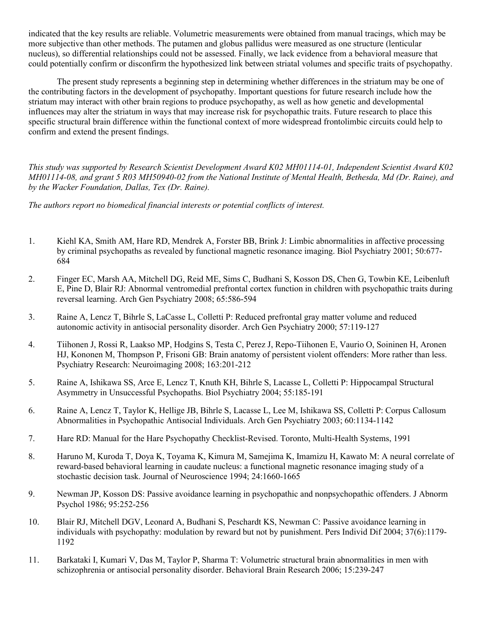indicated that the key results are reliable. Volumetric measurements were obtained from manual tracings, which may be more subjective than other methods. The putamen and globus pallidus were measured as one structure (lenticular nucleus), so differential relationships could not be assessed. Finally, we lack evidence from a behavioral measure that could potentially confirm or disconfirm the hypothesized link between striatal volumes and specific traits of psychopathy.

The present study represents a beginning step in determining whether differences in the striatum may be one of the contributing factors in the development of psychopathy. Important questions for future research include how the striatum may interact with other brain regions to produce psychopathy, as well as how genetic and developmental influences may alter the striatum in ways that may increase risk for psychopathic traits. Future research to place this specific structural brain difference within the functional context of more widespread frontolimbic circuits could help to confirm and extend the present findings.

*This study was supported by Research Scientist Development Award K02 MH01114-01, Independent Scientist Award K02 MH01114-08, and grant 5 R03 MH50940-02 from the National Institute of Mental Health, Bethesda, Md (Dr. Raine), and by the Wacker Foundation, Dallas, Tex (Dr. Raine).*

*The authors report no biomedical financial interests or potential conflicts of interest.*

- 1. Kiehl KA, Smith AM, Hare RD, Mendrek A, Forster BB, Brink J: Limbic abnormalities in affective processing by criminal psychopaths as revealed by functional magnetic resonance imaging. Biol Psychiatry 2001; 50:677- 684
- 2. Finger EC, Marsh AA, Mitchell DG, Reid ME, Sims C, Budhani S, Kosson DS, Chen G, Towbin KE, Leibenluft E, Pine D, Blair RJ: Abnormal ventromedial prefrontal cortex function in children with psychopathic traits during reversal learning. Arch Gen Psychiatry 2008; 65:586-594
- 3. Raine A, Lencz T, Bihrle S, LaCasse L, Colletti P: Reduced prefrontal gray matter volume and reduced autonomic activity in antisocial personality disorder. Arch Gen Psychiatry 2000; 57:119-127
- 4. Tiihonen J, Rossi R, Laakso MP, Hodgins S, Testa C, Perez J, Repo-Tiihonen E, Vaurio O, Soininen H, Aronen HJ, Kononen M, Thompson P, Frisoni GB: Brain anatomy of persistent violent offenders: More rather than less. Psychiatry Research: Neuroimaging 2008; 163:201-212
- 5. Raine A, Ishikawa SS, Arce E, Lencz T, Knuth KH, Bihrle S, Lacasse L, Colletti P: Hippocampal Structural Asymmetry in Unsuccessful Psychopaths. Biol Psychiatry 2004; 55:185-191
- 6. Raine A, Lencz T, Taylor K, Hellige JB, Bihrle S, Lacasse L, Lee M, Ishikawa SS, Colletti P: Corpus Callosum Abnormalities in Psychopathic Antisocial Individuals. Arch Gen Psychiatry 2003; 60:1134-1142
- 7. Hare RD: Manual for the Hare Psychopathy Checklist-Revised. Toronto, Multi-Health Systems, 1991
- 8. Haruno M, Kuroda T, Doya K, Toyama K, Kimura M, Samejima K, Imamizu H, Kawato M: A neural correlate of reward-based behavioral learning in caudate nucleus: a functional magnetic resonance imaging study of a stochastic decision task. Journal of Neuroscience 1994; 24:1660-1665
- 9. Newman JP, Kosson DS: Passive avoidance learning in psychopathic and nonpsychopathic offenders. J Abnorm Psychol 1986; 95:252-256
- 10. Blair RJ, Mitchell DGV, Leonard A, Budhani S, Peschardt KS, Newman C: Passive avoidance learning in individuals with psychopathy: modulation by reward but not by punishment. Pers Individ Dif 2004; 37(6):1179- 1192
- 11. Barkataki I, Kumari V, Das M, Taylor P, Sharma T: Volumetric structural brain abnormalities in men with schizophrenia or antisocial personality disorder. Behavioral Brain Research 2006; 15:239-247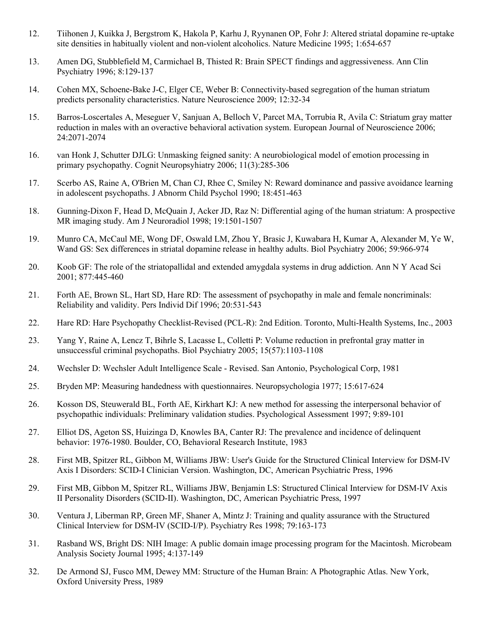- 12. Tiihonen J, Kuikka J, Bergstrom K, Hakola P, Karhu J, Ryynanen OP, Fohr J: Altered striatal dopamine re-uptake site densities in habitually violent and non-violent alcoholics. Nature Medicine 1995; 1:654-657
- 13. Amen DG, Stubblefield M, Carmichael B, Thisted R: Brain SPECT findings and aggressiveness. Ann Clin Psychiatry 1996; 8:129-137
- 14. Cohen MX, Schoene-Bake J-C, Elger CE, Weber B: Connectivity-based segregation of the human striatum predicts personality characteristics. Nature Neuroscience 2009; 12:32-34
- 15. Barros-Loscertales A, Meseguer V, Sanjuan A, Belloch V, Parcet MA, Torrubia R, Avila C: Striatum gray matter reduction in males with an overactive behavioral activation system. European Journal of Neuroscience 2006; 24:2071-2074
- 16. van Honk J, Schutter DJLG: Unmasking feigned sanity: A neurobiological model of emotion processing in primary psychopathy. Cognit Neuropsyhiatry 2006; 11(3):285-306
- 17. Scerbo AS, Raine A, O'Brien M, Chan CJ, Rhee C, Smiley N: Reward dominance and passive avoidance learning in adolescent psychopaths. J Abnorm Child Psychol 1990; 18:451-463
- 18. Gunning-Dixon F, Head D, McQuain J, Acker JD, Raz N: Differential aging of the human striatum: A prospective MR imaging study. Am J Neuroradiol 1998; 19:1501-1507
- 19. Munro CA, McCaul ME, Wong DF, Oswald LM, Zhou Y, Brasic J, Kuwabara H, Kumar A, Alexander M, Ye W, Wand GS: Sex differences in striatal dopamine release in healthy adults. Biol Psychiatry 2006; 59:966-974
- 20. Koob GF: The role of the striatopallidal and extended amygdala systems in drug addiction. Ann N Y Acad Sci 2001; 877:445-460
- 21. Forth AE, Brown SL, Hart SD, Hare RD: The assessment of psychopathy in male and female noncriminals: Reliability and validity. Pers Individ Dif 1996; 20:531-543
- 22. Hare RD: Hare Psychopathy Checklist-Revised (PCL-R): 2nd Edition. Toronto, Multi-Health Systems, Inc., 2003
- 23. Yang Y, Raine A, Lencz T, Bihrle S, Lacasse L, Colletti P: Volume reduction in prefrontal gray matter in unsuccessful criminal psychopaths. Biol Psychiatry 2005; 15(57):1103-1108
- 24. Wechsler D: Wechsler Adult Intelligence Scale Revised. San Antonio, Psychological Corp, 1981
- 25. Bryden MP: Measuring handedness with questionnaires. Neuropsychologia 1977; 15:617-624
- 26. Kosson DS, Steuwerald BL, Forth AE, Kirkhart KJ: A new method for assessing the interpersonal behavior of psychopathic individuals: Preliminary validation studies. Psychological Assessment 1997; 9:89-101
- 27. Elliot DS, Ageton SS, Huizinga D, Knowles BA, Canter RJ: The prevalence and incidence of delinquent behavior: 1976-1980. Boulder, CO, Behavioral Research Institute, 1983
- 28. First MB, Spitzer RL, Gibbon M, Williams JBW: User's Guide for the Structured Clinical Interview for DSM-IV Axis I Disorders: SCID-I Clinician Version. Washington, DC, American Psychiatric Press, 1996
- 29. First MB, Gibbon M, Spitzer RL, Williams JBW, Benjamin LS: Structured Clinical Interview for DSM-IV Axis II Personality Disorders (SCID-II). Washington, DC, American Psychiatric Press, 1997
- 30. Ventura J, Liberman RP, Green MF, Shaner A, Mintz J: Training and quality assurance with the Structured Clinical Interview for DSM-IV (SCID-I/P). Psychiatry Res 1998; 79:163-173
- 31. Rasband WS, Bright DS: NIH Image: A public domain image processing program for the Macintosh. Microbeam Analysis Society Journal 1995; 4:137-149
- 32. De Armond SJ, Fusco MM, Dewey MM: Structure of the Human Brain: A Photographic Atlas. New York, Oxford University Press, 1989